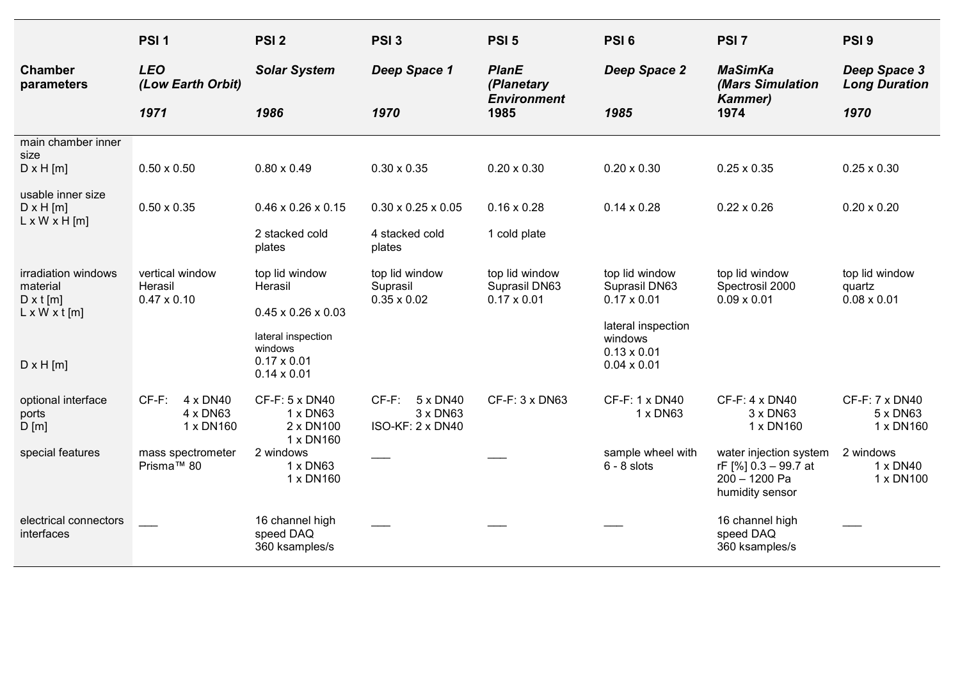|                                                                    | PSI <sub>1</sub>                                 | PSI <sub>2</sub>                                                          | PSI <sub>3</sub>                                     | PSI <sub>5</sub>                                      | PSI <sub>6</sub>                                      | PSI <sub>7</sub>                                                                   | PSI <sub>9</sub>                               |
|--------------------------------------------------------------------|--------------------------------------------------|---------------------------------------------------------------------------|------------------------------------------------------|-------------------------------------------------------|-------------------------------------------------------|------------------------------------------------------------------------------------|------------------------------------------------|
| <b>Chamber</b><br>parameters                                       | <b>LEO</b><br>(Low Earth Orbit)                  | <b>Solar System</b>                                                       | Deep Space 1                                         | <b>PlanE</b><br>(Planetary<br><b>Environment</b>      | Deep Space 2                                          | <b>MaSimKa</b><br>(Mars Simulation<br><b>Kammer)</b>                               | Deep Space 3<br><b>Long Duration</b>           |
|                                                                    | 1971                                             | 1986                                                                      | 1970                                                 | 1985                                                  | 1985                                                  | 1974                                                                               | 1970                                           |
| main chamber inner<br>size<br>$D \times H$ [m]                     | $0.50 \times 0.50$                               | $0.80 \times 0.49$                                                        | $0.30 \times 0.35$                                   | $0.20 \times 0.30$                                    | $0.20 \times 0.30$                                    | $0.25 \times 0.35$                                                                 | $0.25 \times 0.30$                             |
| usable inner size<br>$D \times H$ [m]<br>$L \times W \times H$ [m] | $0.50 \times 0.35$                               | $0.46 \times 0.26 \times 0.15$                                            | $0.30 \times 0.25 \times 0.05$                       | $0.16 \times 0.28$                                    | $0.14 \times 0.28$                                    | $0.22 \times 0.26$                                                                 | $0.20 \times 0.20$                             |
|                                                                    |                                                  | 2 stacked cold<br>plates                                                  | 4 stacked cold<br>plates                             | 1 cold plate                                          |                                                       |                                                                                    |                                                |
| irradiation windows<br>material<br>$D \times t$ [m]                | vertical window<br>Herasil<br>$0.47 \times 0.10$ | top lid window<br>Herasil                                                 | top lid window<br>Suprasil<br>$0.35 \times 0.02$     | top lid window<br>Suprasil DN63<br>$0.17 \times 0.01$ | top lid window<br>Suprasil DN63<br>$0.17 \times 0.01$ | top lid window<br>Spectrosil 2000<br>$0.09 \times 0.01$                            | top lid window<br>quartz<br>$0.08 \times 0.01$ |
| $L \times W \times t$ [m]                                          |                                                  | $0.45 \times 0.26 \times 0.03$                                            |                                                      |                                                       | lateral inspection                                    |                                                                                    |                                                |
| $D \times H$ [m]                                                   |                                                  | lateral inspection<br>windows<br>$0.17 \times 0.01$<br>$0.14 \times 0.01$ |                                                      |                                                       | windows<br>$0.13 \times 0.01$<br>$0.04 \times 0.01$   |                                                                                    |                                                |
| optional interface<br>ports<br>D[m]                                | $CF-F:$<br>4 x DN40<br>4 x DN63<br>1 x DN160     | CF-F: 5 x DN40<br>1 x DN63<br>2 x DN100                                   | $CF-F$ :<br>5 x DN40<br>3 x DN63<br>ISO-KF: 2 x DN40 | CF-F: 3 x DN63                                        | CF-F: 1 x DN40<br>1 x DN63                            | CF-F: 4 x DN40<br>3 x DN63<br>1 x DN160                                            | CF-F: 7 x DN40<br>5 x DN63<br>1 x DN160        |
| special features                                                   | mass spectrometer<br>Prisma™ 80                  | 1 x DN160<br>2 windows<br>1 x DN63<br>1 x DN160                           |                                                      |                                                       | sample wheel with<br>$6 - 8$ slots                    | water injection system<br>rF [%] 0.3 - 99.7 at<br>200 - 1200 Pa<br>humidity sensor | 2 windows<br>1 x DN40<br>1 x DN100             |
| electrical connectors<br>interfaces                                |                                                  | 16 channel high<br>speed DAQ<br>360 ksamples/s                            |                                                      |                                                       |                                                       | 16 channel high<br>speed DAQ<br>360 ksamples/s                                     |                                                |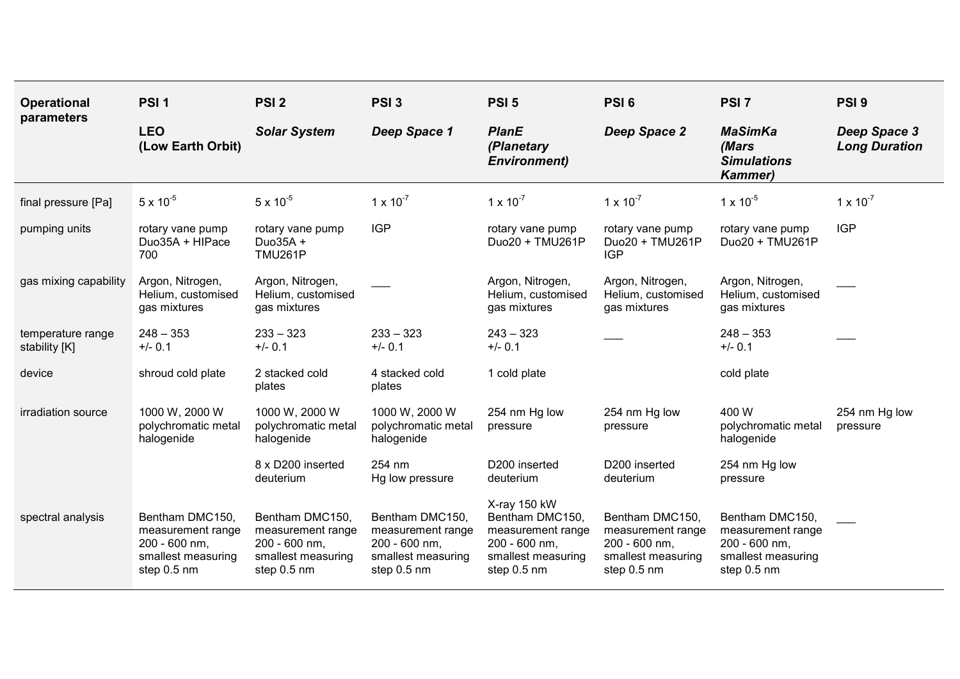| <b>Operational</b><br>parameters   | PSI <sub>1</sub>                                                                           | PSI <sub>2</sub>                                                                           | PSI <sub>3</sub>                                                                           | PSI <sub>5</sub>                                                                                           | PSI <sub>6</sub>                                                                           | PSI <sub>7</sub>                                                                           | PSI <sub>9</sub>                     |
|------------------------------------|--------------------------------------------------------------------------------------------|--------------------------------------------------------------------------------------------|--------------------------------------------------------------------------------------------|------------------------------------------------------------------------------------------------------------|--------------------------------------------------------------------------------------------|--------------------------------------------------------------------------------------------|--------------------------------------|
|                                    | <b>LEO</b><br>(Low Earth Orbit)                                                            | <b>Solar System</b>                                                                        | Deep Space 1                                                                               | <b>PlanE</b><br>(Planetary<br><b>Environment)</b>                                                          | Deep Space 2                                                                               | <b>MaSimKa</b><br>(Mars<br><b>Simulations</b><br><b>Kammer)</b>                            | Deep Space 3<br><b>Long Duration</b> |
| final pressure [Pa]                | $5 \times 10^{-5}$                                                                         | $5 \times 10^{-5}$                                                                         | $1 \times 10^{-7}$                                                                         | $1 \times 10^{-7}$                                                                                         | $1 \times 10^{-7}$                                                                         | $1 \times 10^{-5}$                                                                         | $1 \times 10^{-7}$                   |
| pumping units                      | rotary vane pump<br>Duo35A + HIPace<br>700                                                 | rotary vane pump<br>Duo35A +<br><b>TMU261P</b>                                             | <b>IGP</b>                                                                                 | rotary vane pump<br>Duo20 + TMU261P                                                                        | rotary vane pump<br>Duo20 + TMU261P<br><b>IGP</b>                                          | rotary vane pump<br>Duo20 + TMU261P                                                        | <b>IGP</b>                           |
| gas mixing capability              | Argon, Nitrogen,<br>Helium, customised<br>gas mixtures                                     | Argon, Nitrogen,<br>Helium, customised<br>gas mixtures                                     |                                                                                            | Argon, Nitrogen,<br>Helium, customised<br>gas mixtures                                                     | Argon, Nitrogen,<br>Helium, customised<br>gas mixtures                                     | Argon, Nitrogen,<br>Helium, customised<br>gas mixtures                                     |                                      |
| temperature range<br>stability [K] | $248 - 353$<br>$+/- 0.1$                                                                   | $233 - 323$<br>$+/- 0.1$                                                                   | $233 - 323$<br>$+/- 0.1$                                                                   | $243 - 323$<br>$+/- 0.1$                                                                                   |                                                                                            | $248 - 353$<br>$+/- 0.1$                                                                   |                                      |
| device                             | shroud cold plate                                                                          | 2 stacked cold<br>plates                                                                   | 4 stacked cold<br>plates                                                                   | 1 cold plate                                                                                               |                                                                                            | cold plate                                                                                 |                                      |
| irradiation source                 | 1000 W, 2000 W<br>polychromatic metal<br>halogenide                                        | 1000 W, 2000 W<br>polychromatic metal<br>halogenide                                        | 1000 W, 2000 W<br>polychromatic metal<br>halogenide                                        | 254 nm Hg low<br>pressure                                                                                  | 254 nm Hg low<br>pressure                                                                  | 400 W<br>polychromatic metal<br>halogenide                                                 | 254 nm Hg low<br>pressure            |
|                                    |                                                                                            | 8 x D200 inserted<br>deuterium                                                             | 254 nm<br>Hg low pressure                                                                  | D200 inserted<br>deuterium                                                                                 | D200 inserted<br>deuterium                                                                 | 254 nm Hg low<br>pressure                                                                  |                                      |
| spectral analysis                  | Bentham DMC150,<br>measurement range<br>200 - 600 nm,<br>smallest measuring<br>step 0.5 nm | Bentham DMC150,<br>measurement range<br>200 - 600 nm,<br>smallest measuring<br>step 0.5 nm | Bentham DMC150,<br>measurement range<br>200 - 600 nm,<br>smallest measuring<br>step 0.5 nm | X-ray 150 kW<br>Bentham DMC150,<br>measurement range<br>200 - 600 nm,<br>smallest measuring<br>step 0.5 nm | Bentham DMC150,<br>measurement range<br>200 - 600 nm,<br>smallest measuring<br>step 0.5 nm | Bentham DMC150,<br>measurement range<br>200 - 600 nm,<br>smallest measuring<br>step 0.5 nm |                                      |